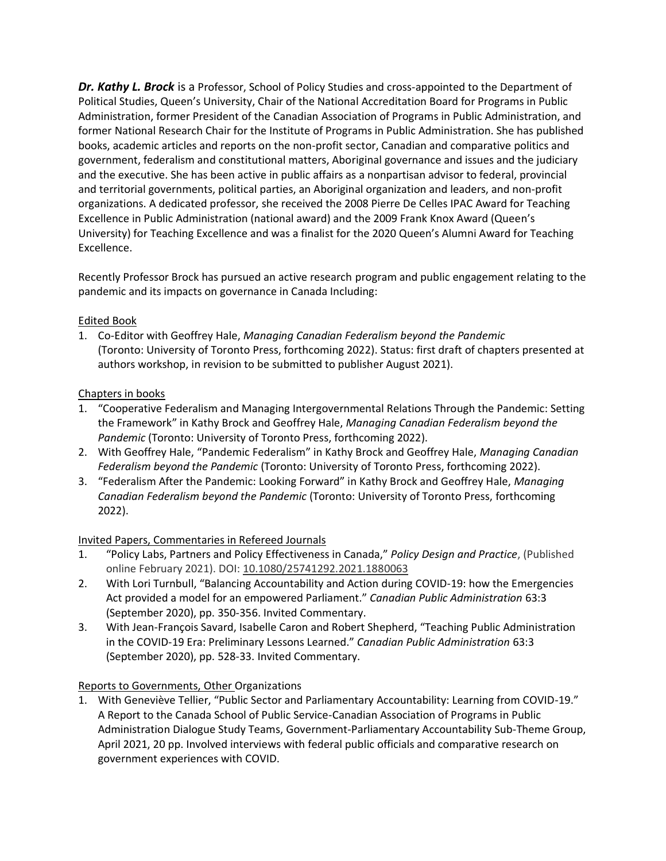*Dr. Kathy L. Brock* is a Professor, School of Policy Studies and cross-appointed to the Department of Political Studies, Queen's University, Chair of the National Accreditation Board for Programs in Public Administration, former President of the Canadian Association of Programs in Public Administration, and former National Research Chair for the Institute of Programs in Public Administration. She has published books, academic articles and reports on the non-profit sector, Canadian and comparative politics and government, federalism and constitutional matters, Aboriginal governance and issues and the judiciary and the executive. She has been active in public affairs as a nonpartisan advisor to federal, provincial and territorial governments, political parties, an Aboriginal organization and leaders, and non-profit organizations. A dedicated professor, she received the 2008 Pierre De Celles IPAC Award for Teaching Excellence in Public Administration (national award) and the 2009 Frank Knox Award (Queen's University) for Teaching Excellence and was a finalist for the 2020 Queen's Alumni Award for Teaching Excellence.

Recently Professor Brock has pursued an active research program and public engagement relating to the pandemic and its impacts on governance in Canada Including:

## Edited Book

1. Co-Editor with Geoffrey Hale, *Managing Canadian Federalism beyond the Pandemic* (Toronto: University of Toronto Press, forthcoming 2022). Status: first draft of chapters presented at authors workshop, in revision to be submitted to publisher August 2021).

# Chapters in books

- 1. "Cooperative Federalism and Managing Intergovernmental Relations Through the Pandemic: Setting the Framework" in Kathy Brock and Geoffrey Hale, *Managing Canadian Federalism beyond the Pandemic* (Toronto: University of Toronto Press, forthcoming 2022).
- 2. With Geoffrey Hale, "Pandemic Federalism" in Kathy Brock and Geoffrey Hale, *Managing Canadian Federalism beyond the Pandemic* (Toronto: University of Toronto Press, forthcoming 2022).
- 3. "Federalism After the Pandemic: Looking Forward" in Kathy Brock and Geoffrey Hale, *Managing Canadian Federalism beyond the Pandemic* (Toronto: University of Toronto Press, forthcoming 2022).

## Invited Papers, Commentaries in Refereed Journals

- 1. "Policy Labs, Partners and Policy Effectiveness in Canada," *Policy Design and Practice*, (Published online February 2021). DOI: [10.1080/25741292.2021.1880063](https://doi.org/10.1080/25741292.2021.1880063)
- 2. With Lori Turnbull, "Balancing Accountability and Action during COVID-19: how the Emergencies Act provided a model for an empowered Parliament." *Canadian Public Administration* 63:3 (September 2020), pp. 350-356. Invited Commentary.
- 3. With Jean-François Savard, Isabelle Caron and Robert Shepherd, "Teaching Public Administration in the COVID-19 Era: Preliminary Lessons Learned." *Canadian Public Administration* 63:3 (September 2020), pp. 528-33. Invited Commentary.

## Reports to Governments, Other Organizations

1. With Geneviève Tellier, "Public Sector and Parliamentary Accountability: Learning from COVID-19." A Report to the Canada School of Public Service-Canadian Association of Programs in Public Administration Dialogue Study Teams, Government-Parliamentary Accountability Sub-Theme Group, April 2021, 20 pp. Involved interviews with federal public officials and comparative research on government experiences with COVID.